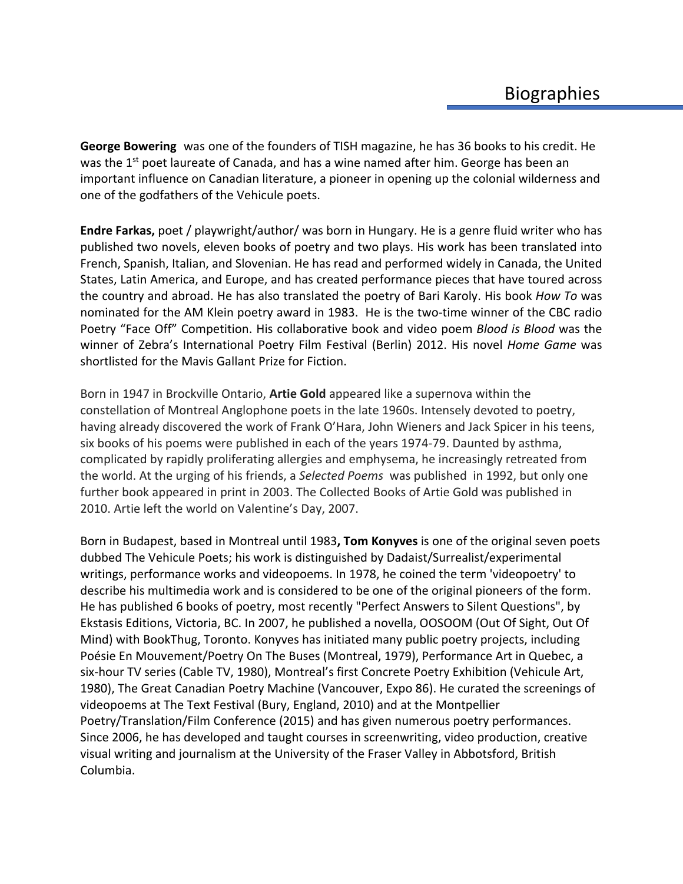**George Bowering** was one of the founders of TISH magazine, he has 36 books to his credit. He was the  $1^{st}$  poet laureate of Canada, and has a wine named after him. George has been an important influence on Canadian literature, a pioneer in opening up the colonial wilderness and one of the godfathers of the Vehicule poets.

**Endre Farkas,** poet / playwright/author/ was born in Hungary. He is a genre fluid writer who has published two novels, eleven books of poetry and two plays. His work has been translated into French, Spanish, Italian, and Slovenian. He has read and performed widely in Canada, the United States, Latin America, and Europe, and has created performance pieces that have toured across the country and abroad. He has also translated the poetry of Bari Karoly. His book *How To* was nominated for the AM Klein poetry award in 1983. He is the two-time winner of the CBC radio Poetry "Face Off" Competition. His collaborative book and video poem *Blood is Blood* was the winner of Zebra's International Poetry Film Festival (Berlin) 2012. His novel *Home Game* was shortlisted for the Mavis Gallant Prize for Fiction.

Born in 1947 in Brockville Ontario, **Artie Gold** appeared like a supernova within the constellation of Montreal Anglophone poets in the late 1960s. Intensely devoted to poetry, having already discovered the work of Frank O'Hara, John Wieners and Jack Spicer in his teens, six books of his poems were published in each of the years 1974-79. Daunted by asthma, complicated by rapidly proliferating allergies and emphysema, he increasingly retreated from the world. At the urging of his friends, a *Selected Poems* was published in 1992, but only one further book appeared in print in 2003. The Collected Books of Artie Gold was published in 2010. Artie left the world on Valentine's Day, 2007.

Born in Budapest, based in Montreal until 1983**, Tom Konyves** is one of the original seven poets dubbed The Vehicule Poets; his work is distinguished by Dadaist/Surrealist/experimental writings, performance works and videopoems. In 1978, he coined the term 'videopoetry' to describe his multimedia work and is considered to be one of the original pioneers of the form. He has published 6 books of poetry, most recently "Perfect Answers to Silent Questions", by Ekstasis Editions, Victoria, BC. In 2007, he published a novella, OOSOOM (Out Of Sight, Out Of Mind) with BookThug, Toronto. Konyves has initiated many public poetry projects, including Poésie En Mouvement/Poetry On The Buses (Montreal, 1979), Performance Art in Quebec, a six-hour TV series (Cable TV, 1980), Montreal's first Concrete Poetry Exhibition (Vehicule Art, 1980), The Great Canadian Poetry Machine (Vancouver, Expo 86). He curated the screenings of videopoems at The Text Festival (Bury, England, 2010) and at the Montpellier Poetry/Translation/Film Conference (2015) and has given numerous poetry performances. Since 2006, he has developed and taught courses in screenwriting, video production, creative visual writing and journalism at the University of the Fraser Valley in Abbotsford, British Columbia.